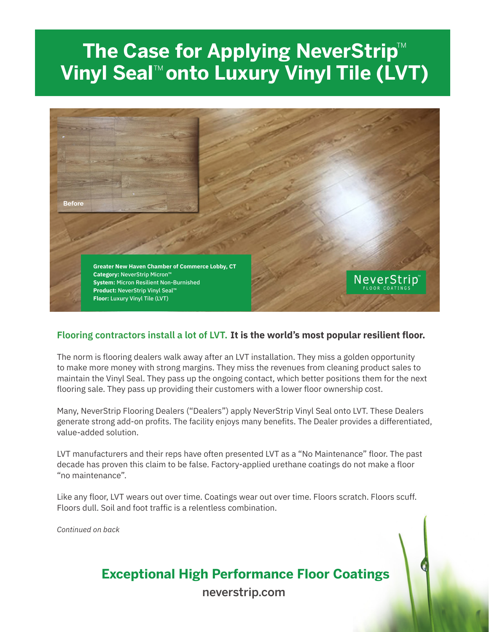# The Case for Applying NeverStrip<sup>™</sup> **Vinyl Seal™onto Luxury Vinyl Tile (LVT)**



### **Flooring contractors install a lot of LVT. It is the world's most popular resilient floor.**

The norm is flooring dealers walk away after an LVT installation. They miss a golden opportunity to make more money with strong margins. They miss the revenues from cleaning product sales to maintain the Vinyl Seal. They pass up the ongoing contact, which better positions them for the next flooring sale. They pass up providing their customers with a lower floor ownership cost.

Many, NeverStrip Flooring Dealers ("Dealers") apply NeverStrip Vinyl Seal onto LVT. These Dealers generate strong add-on profits. The facility enjoys many benefits. The Dealer provides a differentiated, value-added solution.

LVT manufacturers and their reps have often presented LVT as a "No Maintenance" floor. The past decade has proven this claim to be false. Factory-applied urethane coatings do not make a floor "no maintenance".

Like any floor, LVT wears out over time. Coatings wear out over time. Floors scratch. Floors scuff. Floors dull. Soil and foot traffic is a relentless combination.

*Continued on back*

# **Exceptional High Performance Floor Coatings**

neverstrip.com